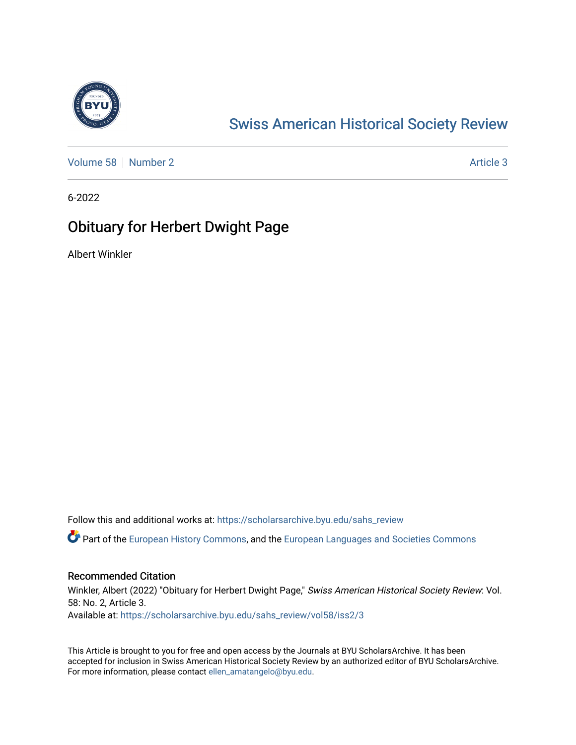

## [Swiss American Historical Society Review](https://scholarsarchive.byu.edu/sahs_review)

[Volume 58](https://scholarsarchive.byu.edu/sahs_review/vol58) [Number 2](https://scholarsarchive.byu.edu/sahs_review/vol58/iss2) [Article 3](https://scholarsarchive.byu.edu/sahs_review/vol58/iss2/3) Article 3

6-2022

## Obituary for Herbert Dwight Page

Albert Winkler

Follow this and additional works at: [https://scholarsarchive.byu.edu/sahs\\_review](https://scholarsarchive.byu.edu/sahs_review?utm_source=scholarsarchive.byu.edu%2Fsahs_review%2Fvol58%2Fiss2%2F3&utm_medium=PDF&utm_campaign=PDFCoverPages)

Part of the [European History Commons](https://network.bepress.com/hgg/discipline/492?utm_source=scholarsarchive.byu.edu%2Fsahs_review%2Fvol58%2Fiss2%2F3&utm_medium=PDF&utm_campaign=PDFCoverPages), and the [European Languages and Societies Commons](https://network.bepress.com/hgg/discipline/482?utm_source=scholarsarchive.byu.edu%2Fsahs_review%2Fvol58%2Fiss2%2F3&utm_medium=PDF&utm_campaign=PDFCoverPages)

## Recommended Citation

Winkler, Albert (2022) "Obituary for Herbert Dwight Page," Swiss American Historical Society Review: Vol. 58: No. 2, Article 3. Available at: [https://scholarsarchive.byu.edu/sahs\\_review/vol58/iss2/3](https://scholarsarchive.byu.edu/sahs_review/vol58/iss2/3?utm_source=scholarsarchive.byu.edu%2Fsahs_review%2Fvol58%2Fiss2%2F3&utm_medium=PDF&utm_campaign=PDFCoverPages) 

This Article is brought to you for free and open access by the Journals at BYU ScholarsArchive. It has been accepted for inclusion in Swiss American Historical Society Review by an authorized editor of BYU ScholarsArchive. For more information, please contact [ellen\\_amatangelo@byu.edu.](mailto:ellen_amatangelo@byu.edu)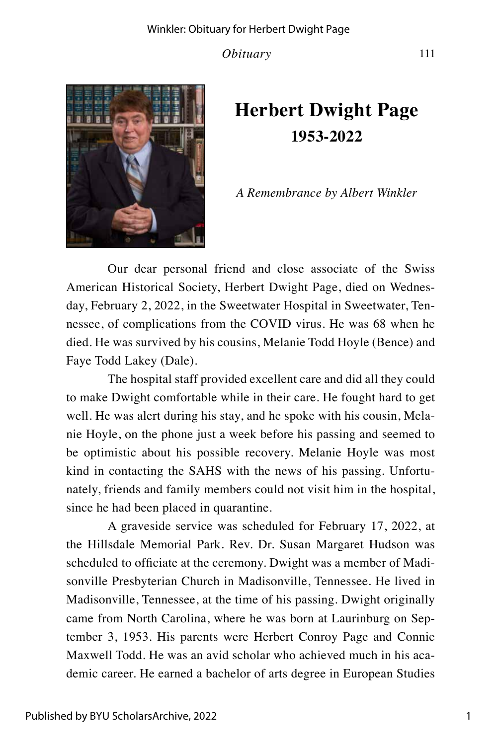*Obituary* 111



## **Herbert Dwight Page 1953-2022**

*A Remembrance by Albert Winkler*

Our dear personal friend and close associate of the Swiss American Historical Society, Herbert Dwight Page, died on Wednesday, February 2, 2022, in the Sweetwater Hospital in Sweetwater, Tennessee, of complications from the COVID virus. He was 68 when he died. He was survived by his cousins, Melanie Todd Hoyle (Bence) and Faye Todd Lakey (Dale).

The hospital staff provided excellent care and did all they could to make Dwight comfortable while in their care. He fought hard to get well. He was alert during his stay, and he spoke with his cousin, Melanie Hoyle, on the phone just a week before his passing and seemed to be optimistic about his possible recovery. Melanie Hoyle was most kind in contacting the SAHS with the news of his passing. Unfortunately, friends and family members could not visit him in the hospital, since he had been placed in quarantine.

A graveside service was scheduled for February 17, 2022, at the Hillsdale Memorial Park. Rev. Dr. Susan Margaret Hudson was scheduled to officiate at the ceremony. Dwight was a member of Madisonville Presbyterian Church in Madisonville, Tennessee. He lived in Madisonville, Tennessee, at the time of his passing. Dwight originally came from North Carolina, where he was born at Laurinburg on September 3, 1953. His parents were Herbert Conroy Page and Connie Maxwell Todd. He was an avid scholar who achieved much in his academic career. He earned a bachelor of arts degree in European Studies